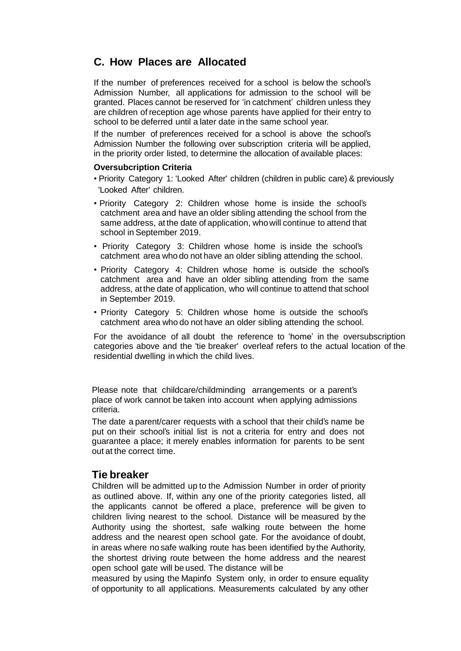# **C. How Places are Allocated**

If the number of preferences received for a school is below the school's Admission Number, all applications for admission to the school will be granted. Places cannot be reserved for 'in catchment' children unless they are children of reception age whose parents have applied for their entry to school to be deferred until a later date in the same school year.

If the number of preferences received for a school is above the school's Admission Number the following over subscription criteria will be applied, in the priority order listed, to determine the allocation of available places:

#### **Oversubcription Criteria**

• Priority Category 1: 'Looked After' children (children in public care) & previously 'Looked After' children.

- Priority Category 2: Children whose home is inside the school's catchment area and have an older sibling attending the school from the same address, at the date of application, whowill continue to attend that school in September 2019.
- Priority Category 3: Children whose home is inside the school's catchment area who do not have an older sibling attending the school.
- Priority Category 4: Children whose home is outside the school's catchment area and have an older sibling attending from the same address, atthe date of application, who will continue to attend that school in September 2019.
- Priority Category 5: Children whose home is outside the school's catchment area who do not have an older sibling attending the school.

For the avoidance of all doubt the reference to 'home' in the oversubscription categories above and the 'tie breaker' overleaf refers to the actual location of the residential dwelling in which the child lives.

Please note that childcare/childminding arrangements or a parent's place of work cannot be taken into account when applying admissions criteria.

The date a parent/carer requests with a school that their child's name be put on their school's initial list is not a criteria for entry and does not guarantee a place; it merely enables information for parents to be sent out at the correct time.

## **Tie breaker**

Children will be admitted up to the Admission Number in order of priority as outlined above. If, within any one of the priority categories listed, all the applicants cannot be offered a place, preference will be given to children living nearest to the school. Distance will be measured by the Authority using the shortest, safe walking route between the home address and the nearest open school gate. For the avoidance of doubt, in areas where no safe walking route has been identified by the Authority, the shortest driving route between the home address and the nearest open school gate will be used. The distance will be

measured by using the Mapinfo System only, in order to ensure equality of opportunity to all applications. Measurements calculated by any other